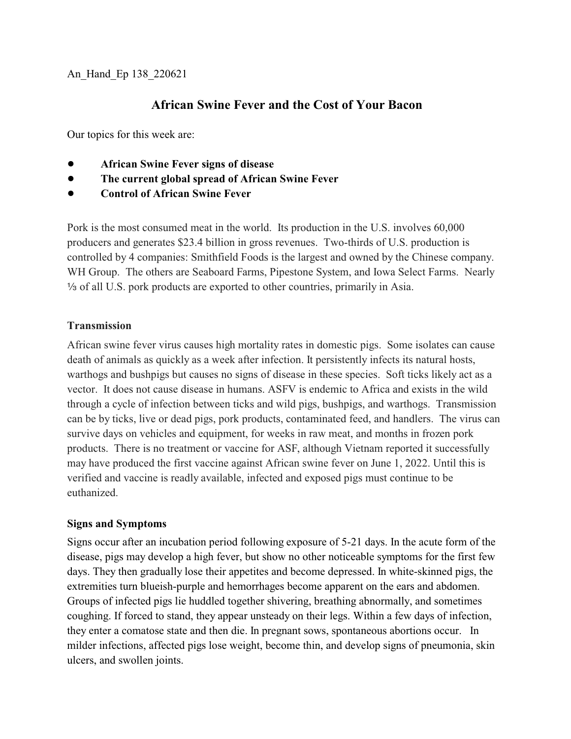## **African Swine Fever and the Cost of Your Bacon**

Our topics for this week are:

- ! **African Swine Fever signs of disease**
- ! **The current global spread of African Swine Fever**
- ! **Control of African Swine Fever**

Pork is the most consumed meat in the world. Its production in the U.S. involves 60,000 producers and generates \$23.4 billion in gross revenues. Two-thirds of U.S. production is controlled by 4 companies: Smithfield Foods is the largest and owned by the Chinese company. WH Group. The others are Seaboard Farms, Pipestone System, and Iowa Select Farms. Nearly  $\frac{1}{3}$  of all U.S. pork products are exported to other countries, primarily in Asia.

## **Transmission**

African swine fever virus causes high mortality rates in domestic pigs. Some isolates can cause death of animals as quickly as a week after infection. It persistently infects its natural hosts, warthogs and bushpigs but causes no signs of disease in these species. Soft ticks likely act as a vector. It does not cause disease in humans. ASFV is endemic to Africa and exists in the wild through a cycle of infection between ticks and wild pigs, bushpigs, and warthogs. Transmission can be by ticks, live or dead pigs, pork products, contaminated feed, and handlers. The virus can survive days on vehicles and equipment, for weeks in raw meat, and months in frozen pork products. There is no treatment or vaccine for ASF, although Vietnam reported it successfully may have produced the first vaccine against African swine fever on June 1, 2022. Until this is verified and vaccine is readly available, infected and exposed pigs must continue to be euthanized.

## **Signs and Symptoms**

Signs occur after an incubation period following exposure of 5-21 days. In the acute form of the disease, pigs may develop a high fever, but show no other noticeable symptoms for the first few days. They then gradually lose their appetites and become depressed. In white-skinned pigs, the extremities turn blueish-purple and hemorrhages become apparent on the ears and abdomen. Groups of infected pigs lie huddled together shivering, breathing abnormally, and sometimes coughing. If forced to stand, they appear unsteady on their legs. Within a few days of infection, they enter a comatose state and then die. In pregnant sows, spontaneous abortions occur. In milder infections, affected pigs lose weight, become thin, and develop signs of pneumonia, skin ulcers, and swollen joints.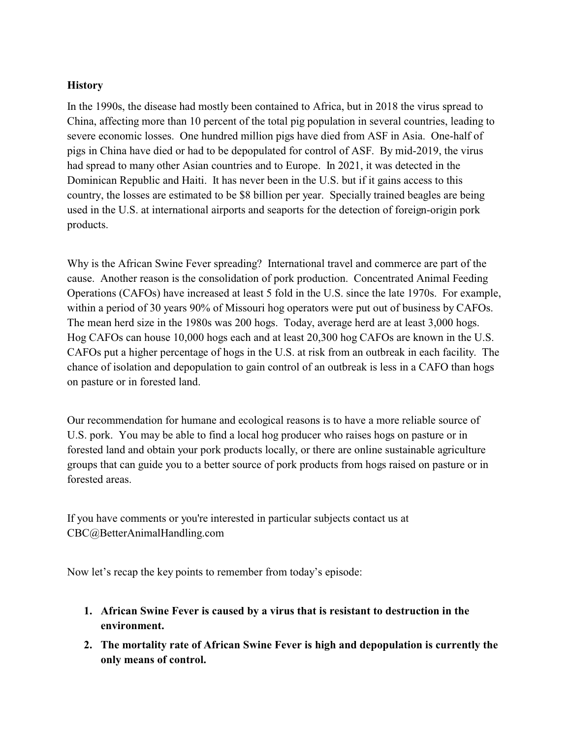## **History**

In the 1990s, the disease had mostly been contained to Africa, but in 2018 the virus spread to China, affecting more than 10 percent of the total pig population in several countries, leading to severe economic losses. One hundred million pigs have died from ASF in Asia. One-half of pigs in China have died or had to be depopulated for control of ASF. By mid-2019, the virus had spread to many other Asian countries and to Europe. In 2021, it was detected in the Dominican Republic and Haiti. It has never been in the U.S. but if it gains access to this country, the losses are estimated to be \$8 billion per year. Specially trained beagles are being used in the U.S. at international airports and seaports for the detection of foreign-origin pork products.

Why is the African Swine Fever spreading? International travel and commerce are part of the cause. Another reason is the consolidation of pork production. Concentrated Animal Feeding Operations (CAFOs) have increased at least 5 fold in the U.S. since the late 1970s. For example, within a period of 30 years 90% of Missouri hog operators were put out of business by CAFOs. The mean herd size in the 1980s was 200 hogs. Today, average herd are at least 3,000 hogs. Hog CAFOs can house 10,000 hogs each and at least 20,300 hog CAFOs are known in the U.S. CAFOs put a higher percentage of hogs in the U.S. at risk from an outbreak in each facility. The chance of isolation and depopulation to gain control of an outbreak is less in a CAFO than hogs on pasture or in forested land.

Our recommendation for humane and ecological reasons is to have a more reliable source of U.S. pork. You may be able to find a local hog producer who raises hogs on pasture or in forested land and obtain your pork products locally, or there are online sustainable agriculture groups that can guide you to a better source of pork products from hogs raised on pasture or in forested areas.

If you have comments or you're interested in particular subjects contact us at CBC@BetterAnimalHandling.com

Now let's recap the key points to remember from today's episode:

- **1. African Swine Fever is caused by a virus that is resistant to destruction in the environment.**
- **2. The mortality rate of African Swine Fever is high and depopulation is currently the only means of control.**